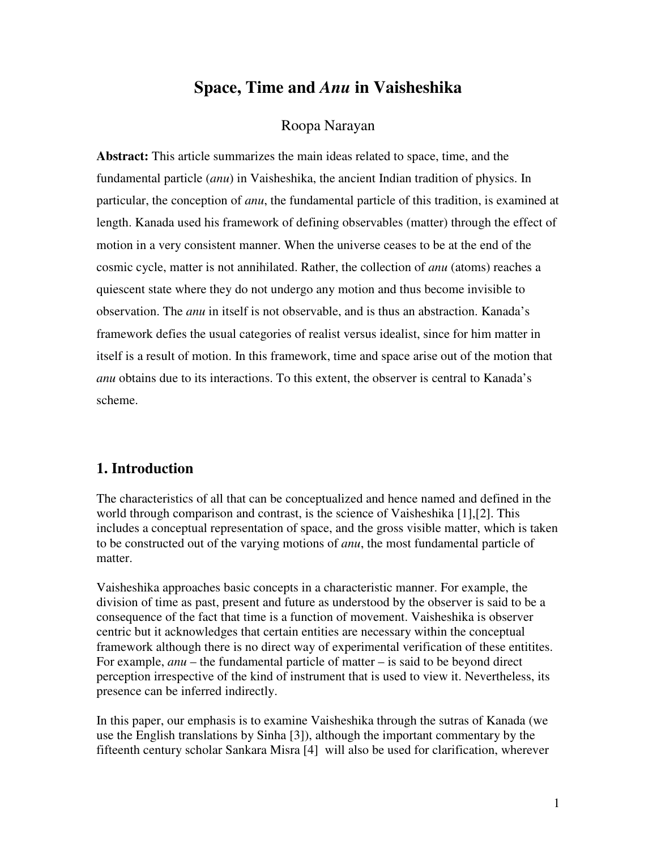### **Space, Time and** *Anu* **in Vaisheshika**

#### Roopa Narayan

**Abstract:** This article summarizes the main ideas related to space, time, and the fundamental particle (*anu*) in Vaisheshika, the ancient Indian tradition of physics. In particular, the conception of *anu*, the fundamental particle of this tradition, is examined at length. Kanada used his framework of defining observables (matter) through the effect of motion in a very consistent manner. When the universe ceases to be at the end of the cosmic cycle, matter is not annihilated. Rather, the collection of *anu* (atoms) reaches a quiescent state where they do not undergo any motion and thus become invisible to observation. The *anu* in itself is not observable, and is thus an abstraction. Kanada's framework defies the usual categories of realist versus idealist, since for him matter in itself is a result of motion. In this framework, time and space arise out of the motion that *anu* obtains due to its interactions. To this extent, the observer is central to Kanada's scheme.

#### **1. Introduction**

The characteristics of all that can be conceptualized and hence named and defined in the world through comparison and contrast, is the science of Vaisheshika [1],[2]. This includes a conceptual representation of space, and the gross visible matter, which is taken to be constructed out of the varying motions of *anu*, the most fundamental particle of matter.

Vaisheshika approaches basic concepts in a characteristic manner. For example, the division of time as past, present and future as understood by the observer is said to be a consequence of the fact that time is a function of movement. Vaisheshika is observer centric but it acknowledges that certain entities are necessary within the conceptual framework although there is no direct way of experimental verification of these entitites. For example, *anu* – the fundamental particle of matter – is said to be beyond direct perception irrespective of the kind of instrument that is used to view it. Nevertheless, its presence can be inferred indirectly.

In this paper, our emphasis is to examine Vaisheshika through the sutras of Kanada (we use the English translations by Sinha [3]), although the important commentary by the fifteenth century scholar Sankara Misra [4] will also be used for clarification, wherever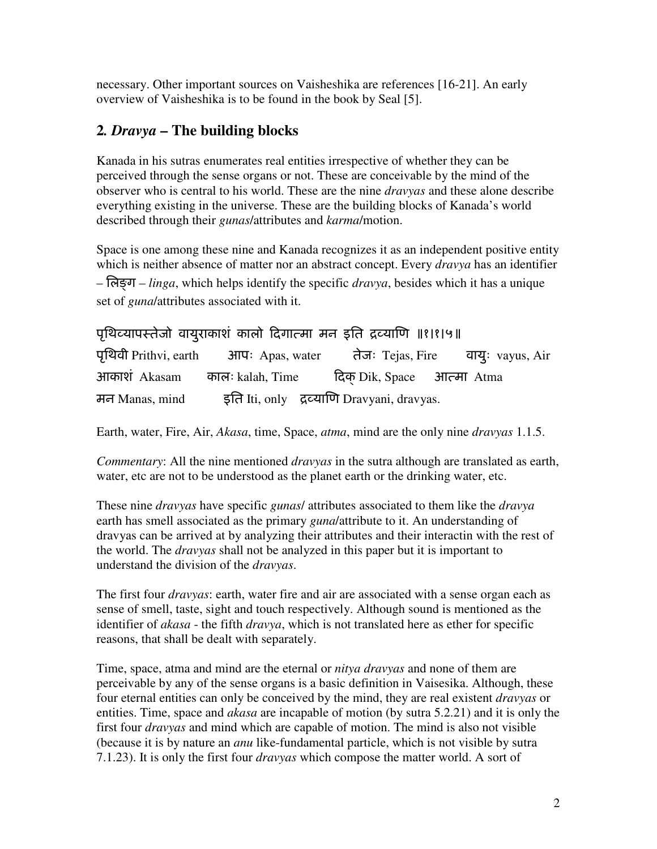necessary. Other important sources on Vaisheshika are references [16-21]. An early overview of Vaisheshika is to be found in the book by Seal [5].

### **2***. Dravya* **– The building blocks**

Kanada in his sutras enumerates real entities irrespective of whether they can be perceived through the sense organs or not. These are conceivable by the mind of the observer who is central to his world. These are the nine *dravyas* and these alone describe everything existing in the universe. These are the building blocks of Kanada's world described through their *gunas*/attributes and *karma*/motion.

Space is one among these nine and Kanada recognizes it as an independent positive entity which is neither absence of matter nor an abstract concept. Every *dravya* has an identifier – िलग – *linga*, which helps identify the specific *dravya*, besides which it has a unique set of *guna*/attributes associated with it.

|                | पृथिव्यापस्तेजो वायुराकाशं कालो दिगात्मा मन इति द्रव्याणि ॥१।१।५॥         |                                            |  |
|----------------|---------------------------------------------------------------------------|--------------------------------------------|--|
|                | पृथिवी Prithvi, earth 3 आपः Apas, water तेजः Tejas, Fire वायुः vayus, Air |                                            |  |
|                | आकाशं Akasam कालः kalah, Time                                             | दिक Dik, Space जात्मा Atma                 |  |
| मन Manas, mind |                                                                           | इति Iti, only द्रव्याणि Dravyani, dravyas. |  |

Earth, water, Fire, Air, *Akasa*, time, Space, *atma*, mind are the only nine *dravyas* 1.1.5.

*Commentary*: All the nine mentioned *dravyas* in the sutra although are translated as earth, water, etc are not to be understood as the planet earth or the drinking water, etc.

These nine *dravyas* have specific *gunas*/ attributes associated to them like the *dravya* earth has smell associated as the primary *guna*/attribute to it. An understanding of dravyas can be arrived at by analyzing their attributes and their interactin with the rest of the world. The *dravyas* shall not be analyzed in this paper but it is important to understand the division of the *dravyas*.

The first four *dravyas*: earth, water fire and air are associated with a sense organ each as sense of smell, taste, sight and touch respectively. Although sound is mentioned as the identifier of *akasa* - the fifth *dravya*, which is not translated here as ether for specific reasons, that shall be dealt with separately.

Time, space, atma and mind are the eternal or *nitya dravyas* and none of them are perceivable by any of the sense organs is a basic definition in Vaisesika. Although, these four eternal entities can only be conceived by the mind, they are real existent *dravyas* or entities. Time, space and *akasa* are incapable of motion (by sutra 5.2.21) and it is only the first four *dravyas* and mind which are capable of motion. The mind is also not visible (because it is by nature an *anu* like-fundamental particle, which is not visible by sutra 7.1.23). It is only the first four *dravyas* which compose the matter world. A sort of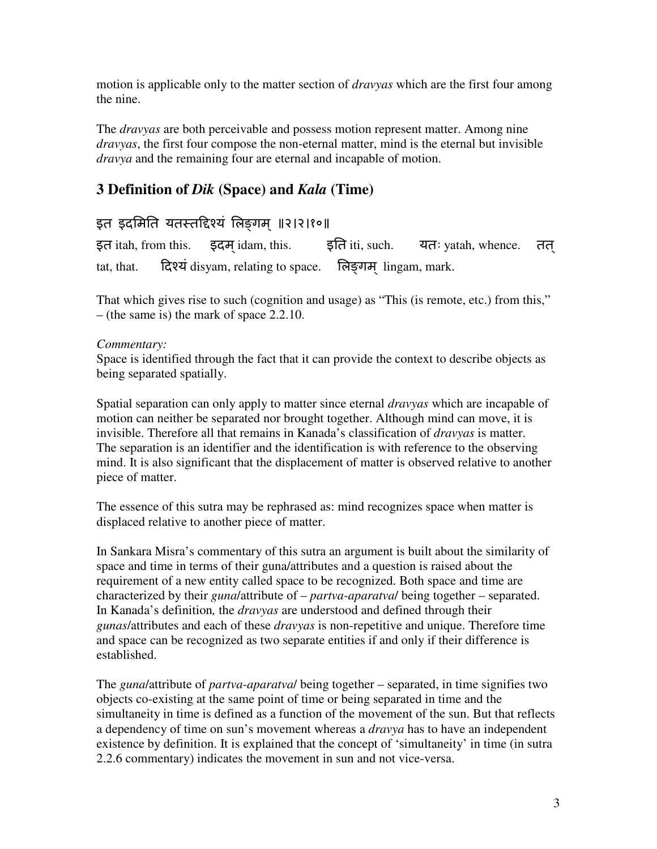motion is applicable only to the matter section of *dravyas* which are the first four among the nine.

The *dravyas* are both perceivable and possess motion represent matter. Among nine *dravyas*, the first four compose the non-eternal matter, mind is the eternal but invisible *dravya* and the remaining four are eternal and incapable of motion.

### **3 Definition of** *Dik* **(Space) and** *Kala* **(Time)**

### इत इदमिति यतस्तद्दिश्यं लिङगम् ॥२।२।१०॥

इत itah, from this.  $\quad$  इदम idam, this.  $\quad$  इति iti, such. यतः yatah, whence. तत tat, that.  $\vec{R}$  R $\vec{q}$  disyam, relating to space.  $\vec{R}$   $\vec{q}$  and lingam, mark.

That which gives rise to such (cognition and usage) as "This (is remote, etc.) from this," – (the same is) the mark of space 2.2.10.

#### *Commentary:*

Space is identified through the fact that it can provide the context to describe objects as being separated spatially.

Spatial separation can only apply to matter since eternal *dravyas* which are incapable of motion can neither be separated nor brought together. Although mind can move, it is invisible. Therefore all that remains in Kanada's classification of *dravyas* is matter. The separation is an identifier and the identification is with reference to the observing mind. It is also significant that the displacement of matter is observed relative to another piece of matter.

The essence of this sutra may be rephrased as: mind recognizes space when matter is displaced relative to another piece of matter.

In Sankara Misra's commentary of this sutra an argument is built about the similarity of space and time in terms of their guna/attributes and a question is raised about the requirement of a new entity called space to be recognized. Both space and time are characterized by their *guna*/attribute of – *partva-aparatva*/ being together – separated. In Kanada's definition*,* the *dravyas* are understood and defined through their *gunas*/attributes and each of these *dravyas* is non-repetitive and unique. Therefore time and space can be recognized as two separate entities if and only if their difference is established.

The *guna*/attribute of *partva-aparatva*/ being together – separated, in time signifies two objects co-existing at the same point of time or being separated in time and the simultaneity in time is defined as a function of the movement of the sun. But that reflects a dependency of time on sun's movement whereas a *dravya* has to have an independent existence by definition. It is explained that the concept of 'simultaneity' in time (in sutra 2.2.6 commentary) indicates the movement in sun and not vice-versa.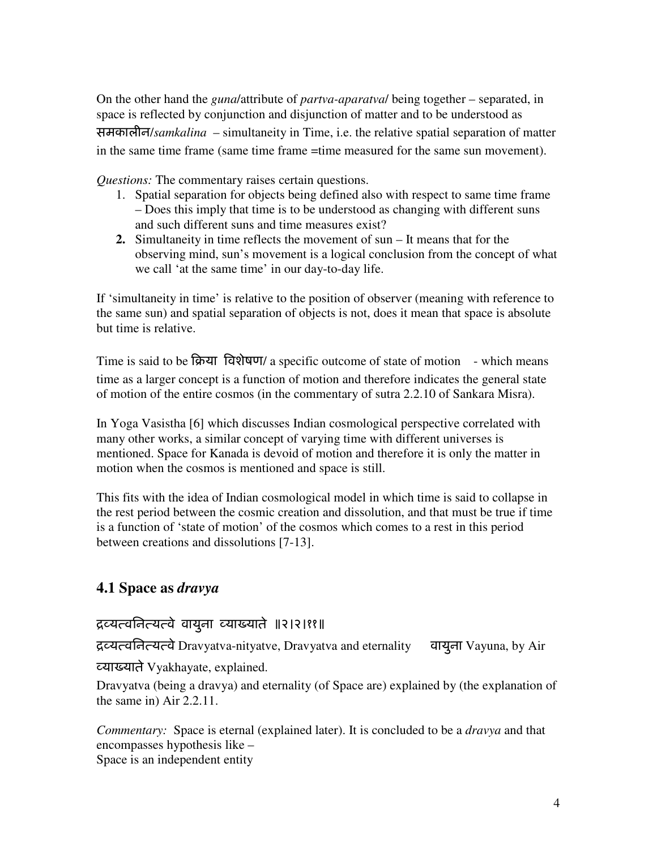On the other hand the *guna*/attribute of *partva-aparatva*/ being together – separated, in space is reflected by conjunction and disjunction of matter and to be understood as समकालीन/*samkalina* – simultaneity in Time, i.e. the relative spatial separation of matter in the same time frame (same time frame =time measured for the same sun movement).

*Questions:* The commentary raises certain questions.

- 1. Spatial separation for objects being defined also with respect to same time frame – Does this imply that time is to be understood as changing with different suns and such different suns and time measures exist?
- **2.** Simultaneity in time reflects the movement of sun It means that for the observing mind, sun's movement is a logical conclusion from the concept of what we call 'at the same time' in our day-to-day life.

If 'simultaneity in time' is relative to the position of observer (meaning with reference to the same sun) and spatial separation of objects is not, does it mean that space is absolute but time is relative.

Time is said to be क्रिया विशेषण/ a specific outcome of state of motion  $-$  which means time as a larger concept is a function of motion and therefore indicates the general state of motion of the entire cosmos (in the commentary of sutra 2.2.10 of Sankara Misra).

In Yoga Vasistha [6] which discusses Indian cosmological perspective correlated with many other works, a similar concept of varying time with different universes is mentioned. Space for Kanada is devoid of motion and therefore it is only the matter in motion when the cosmos is mentioned and space is still.

This fits with the idea of Indian cosmological model in which time is said to collapse in the rest period between the cosmic creation and dissolution, and that must be true if time is a function of 'state of motion' of the cosmos which comes to a rest in this period between creations and dissolutions [7-13].

#### **4.1 Space as** *dravya*

#### ियविनयवे वायुना या0याते ॥२।२।११॥

ियविनयवे Dravyatva-nityatve, Dravyatva and eternality वायुना Vayuna, by Air

या0याते Vyakhayate, explained.

Dravyatva (being a dravya) and eternality (of Space are) explained by (the explanation of the same in) Air 2.2.11.

*Commentary:* Space is eternal (explained later). It is concluded to be a *dravya* and that encompasses hypothesis like – Space is an independent entity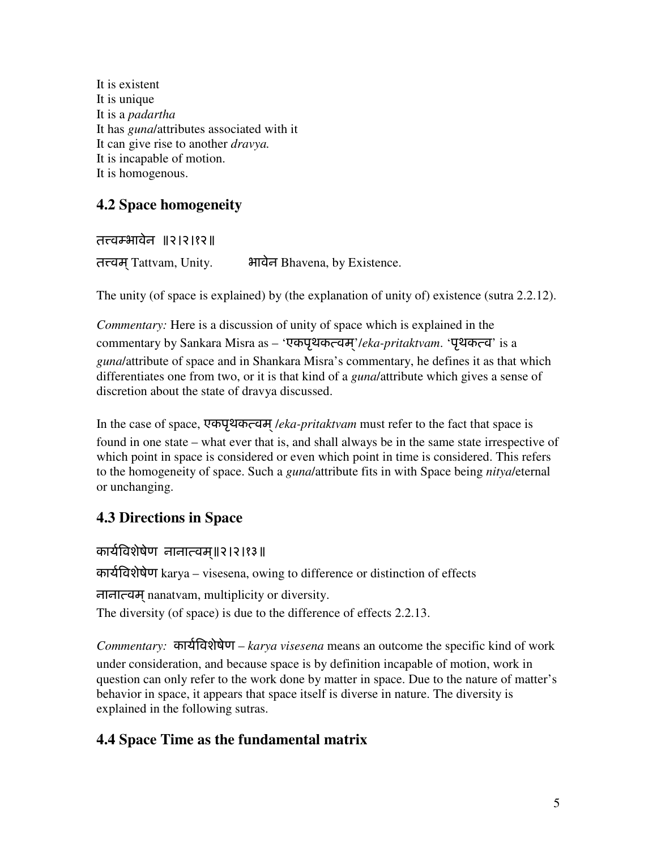It is existent It is unique It is a *padartha* It has *guna*/attributes associated with it It can give rise to another *dravya.*  It is incapable of motion. It is homogenous.

# **4.2 Space homogeneity**

तत्त्वम्भावेन ॥२।२।१२॥ तत्त्वम Tattvam, Unity. अगवेन Bhavena, by Existence.

The unity (of space is explained) by (the explanation of unity of) existence (sutra 2.2.12).

*Commentary:* Here is a discussion of unity of space which is explained in the commentary by Sankara Misra as – 'एकपृथकत्वम'/eka-pritaktvam. 'पृथकत्व' is a *guna*/attribute of space and in Shankara Misra's commentary, he defines it as that which differentiates one from two, or it is that kind of a *guna*/attribute which gives a sense of discretion about the state of dravya discussed.

In the case of space, एकपृथकत्वम् /eka-pritaktvam must refer to the fact that space is found in one state – what ever that is, and shall always be in the same state irrespective of which point in space is considered or even which point in time is considered. This refers to the homogeneity of space. Such a *guna*/attribute fits in with Space being *nitya*/eternal or unchanging.

# **4.3 Directions in Space**

कार्यविशेषेण नानात्वम॥२।२।१३॥

काय5.वशेषेण karya – visesena, owing to difference or distinction of effects

नानावम nanatvam, multiplicity or diversity. ्

The diversity (of space) is due to the difference of effects 2.2.13.

*Commentary:* कार्यविशेषेण – *karya visesena* means an outcome the specific kind of work under consideration, and because space is by definition incapable of motion, work in question can only refer to the work done by matter in space. Due to the nature of matter's behavior in space, it appears that space itself is diverse in nature. The diversity is explained in the following sutras.

### **4.4 Space Time as the fundamental matrix**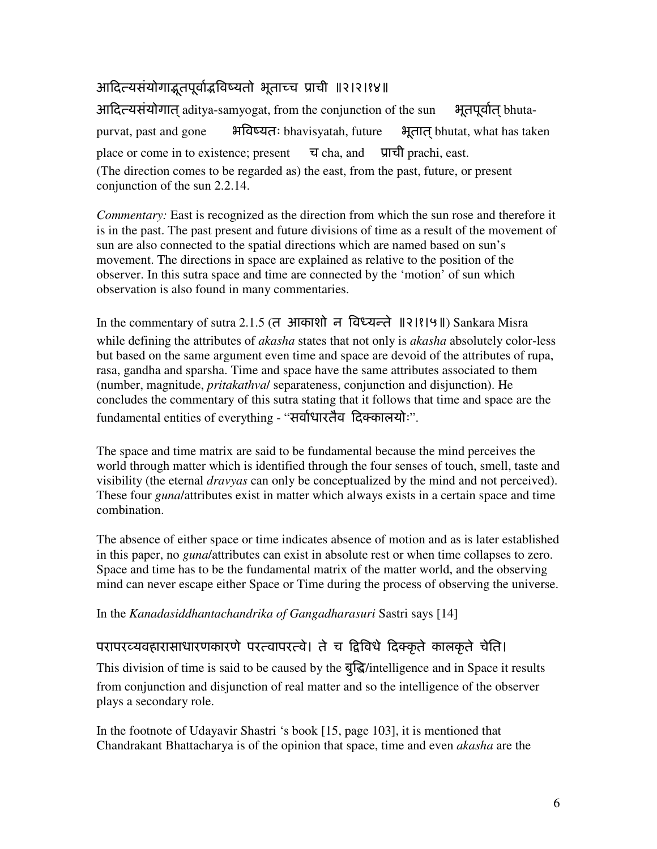# आदित्यसंयोगाद्भुतपूर्वाद्भविष्यतो भूताच्च प्राची ॥२।२।१४॥

आदित्यसंयोगात aditya-samyogat, from the conjunction of the sun भूतपूर्वात bhutapurvat, past and gone भविष्यतः bhavisyatah, future भूतात bhutat, what has taken place or come in to existence; present  $\overline{q}$  cha, and  $\overline{q}$  prachi, east. (The direction comes to be regarded as) the east, from the past, future, or present conjunction of the sun 2.2.14.

*Commentary:* East is recognized as the direction from which the sun rose and therefore it is in the past. The past present and future divisions of time as a result of the movement of sun are also connected to the spatial directions which are named based on sun's movement. The directions in space are explained as relative to the position of the observer. In this sutra space and time are connected by the 'motion' of sun which observation is also found in many commentaries.

In the commentary of sutra 2.1.5 (त) आकाशों न विध्यन्ते ॥२।१।५॥) Sankara Misra while defining the attributes of *akasha* states that not only is *akasha* absolutely color-less but based on the same argument even time and space are devoid of the attributes of rupa, rasa, gandha and sparsha. Time and space have the same attributes associated to them (number, magnitude, *pritakathva*/ separateness, conjunction and disjunction). He concludes the commentary of this sutra stating that it follows that time and space are the fundamental entities of everything - "सर्वाधारतैव दिक्कालयोः".

The space and time matrix are said to be fundamental because the mind perceives the world through matter which is identified through the four senses of touch, smell, taste and visibility (the eternal *dravyas* can only be conceptualized by the mind and not perceived). These four *guna*/attributes exist in matter which always exists in a certain space and time combination.

The absence of either space or time indicates absence of motion and as is later established in this paper, no *guna*/attributes can exist in absolute rest or when time collapses to zero. Space and time has to be the fundamental matrix of the matter world, and the observing mind can never escape either Space or Time during the process of observing the universe.

In the *Kanadasiddhantachandrika of Gangadharasuri* Sastri says [14]

### परापरव्यवहारासाधारणकारणे परत्वापरत्वे। ते च द्विविधे दिक्कृते कालकृते चेति।

This division of time is said to be caused by the बुद्धि/intelligence and in Space it results from conjunction and disjunction of real matter and so the intelligence of the observer plays a secondary role.

In the footnote of Udayavir Shastri 's book [15, page 103], it is mentioned that Chandrakant Bhattacharya is of the opinion that space, time and even *akasha* are the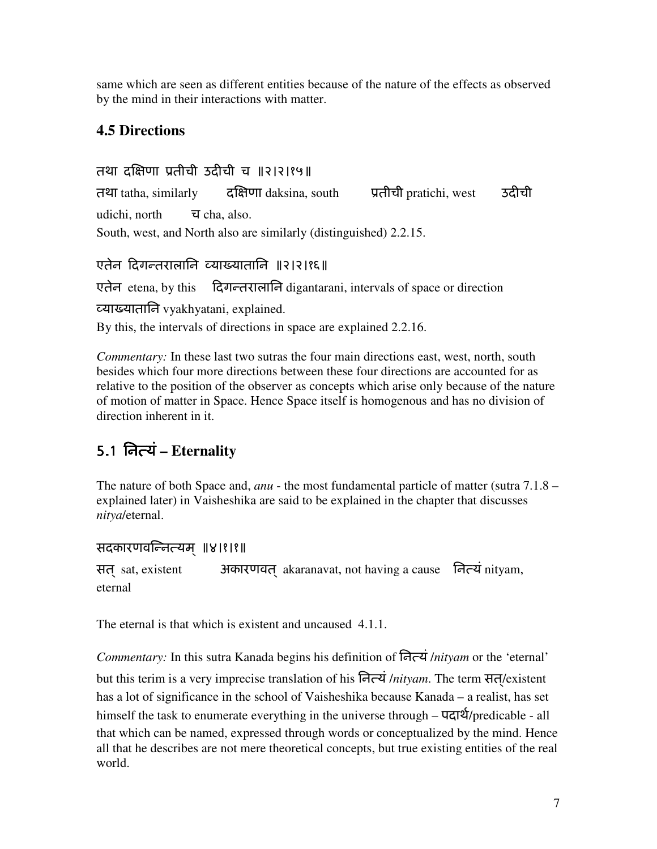same which are seen as different entities because of the nature of the effects as observed by the mind in their interactions with matter.

# **4.5 Directions**

तथा दक्षिणा प्रतीची उदीची च ॥२।२।१५॥ तथा tatha, similarly  $\vec{a}$  दक्षिणा daksina, south  $\vec{a}$  प्रतीची pratichi, west  $\vec{a}$  उदीची udichi, north च cha, also. South, west, and North also are similarly (distinguished) 2.2.15.

# एतेन दिगन्तरालानि व्याख्यातानि ॥२।२।१६॥

एतेन etena, by this दिगन्तरालानि digantarani, intervals of space or direction या0यातािन vyakhyatani, explained. By this, the intervals of directions in space are explained 2.2.16.

*Commentary:* In these last two sutras the four main directions east, west, north, south besides which four more directions between these four directions are accounted for as relative to the position of the observer as concepts which arise only because of the nature of motion of matter in Space. Hence Space itself is homogenous and has no division of direction inherent in it.

# 5.1िनयं **– Eternality**

The nature of both Space and, *anu* - the most fundamental particle of matter (sutra 7.1.8 – explained later) in Vaisheshika are said to be explained in the chapter that discusses *nitya*/eternal.

```
सदकारणवन्नित्यम् ॥४।१।१॥
```
सत् sat, existent 3- अकारणवत् akaranavat, not having a cause  $\overline{a}$  Fe $\overline{a}$  nityam, eternal

The eternal is that which is existent and uncaused 4.1.1.

*Commentary:* In this sutra Kanada begins his definition of िनयं /*nityam* or the 'eternal' but this terim is a very imprecise translation of his नित्यं */nityam*. The term सत/existent has a lot of significance in the school of Vaisheshika because Kanada – a realist, has set himself the task to enumerate everything in the universe through –  $\frac{d}{dt}$  /predicable - all that which can be named, expressed through words or conceptualized by the mind. Hence all that he describes are not mere theoretical concepts, but true existing entities of the real world.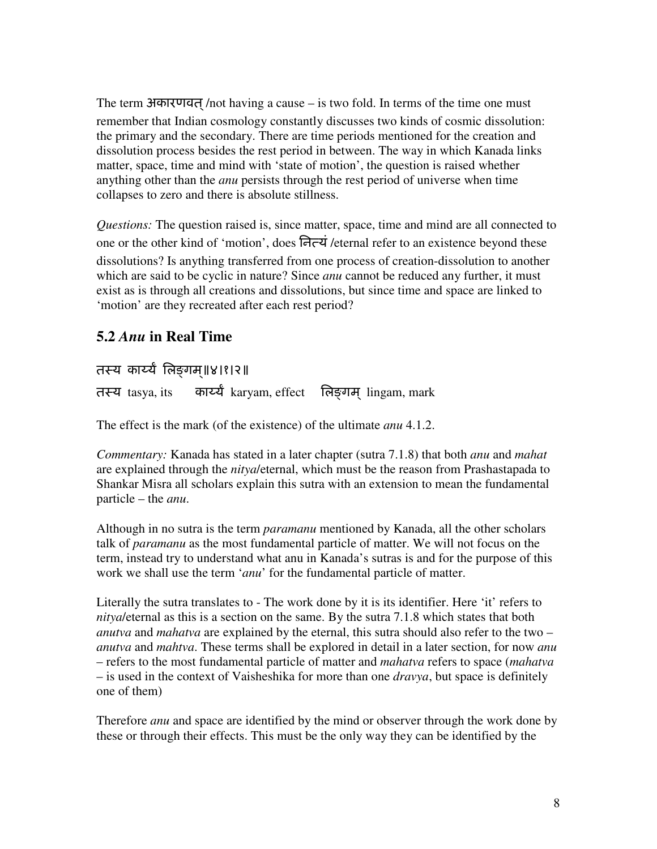The term अकारणवत /not having a cause – is two fold. In terms of the time one must remember that Indian cosmology constantly discusses two kinds of cosmic dissolution: the primary and the secondary. There are time periods mentioned for the creation and dissolution process besides the rest period in between. The way in which Kanada links matter, space, time and mind with 'state of motion', the question is raised whether anything other than the *anu* persists through the rest period of universe when time collapses to zero and there is absolute stillness.

*Questions:* The question raised is, since matter, space, time and mind are all connected to one or the other kind of 'motion', does नित्यं /eternal refer to an existence beyond these dissolutions? Is anything transferred from one process of creation-dissolution to another which are said to be cyclic in nature? Since *anu* cannot be reduced any further, it must exist as is through all creations and dissolutions, but since time and space are linked to 'motion' are they recreated after each rest period?

#### **5.2** *Anu* **in Real Time**

तस्य कार्य्यं लिङ्गम्॥४।१।२॥

तस्य tasya, its कार्य्य karyam, effect लिङगम lingam, mark

The effect is the mark (of the existence) of the ultimate *anu* 4.1.2.

*Commentary:* Kanada has stated in a later chapter (sutra 7.1.8) that both *anu* and *mahat* are explained through the *nitya*/eternal, which must be the reason from Prashastapada to Shankar Misra all scholars explain this sutra with an extension to mean the fundamental particle – the *anu*.

Although in no sutra is the term *paramanu* mentioned by Kanada, all the other scholars talk of *paramanu* as the most fundamental particle of matter. We will not focus on the term, instead try to understand what anu in Kanada's sutras is and for the purpose of this work we shall use the term '*anu*' for the fundamental particle of matter.

Literally the sutra translates to - The work done by it is its identifier. Here 'it' refers to *nitya*/eternal as this is a section on the same. By the sutra 7.1.8 which states that both *anutva* and *mahatva* are explained by the eternal, this sutra should also refer to the two – *anutva* and *mahtva*. These terms shall be explored in detail in a later section, for now *anu* – refers to the most fundamental particle of matter and *mahatva* refers to space (*mahatva* – is used in the context of Vaisheshika for more than one *dravya*, but space is definitely one of them)

Therefore *anu* and space are identified by the mind or observer through the work done by these or through their effects. This must be the only way they can be identified by the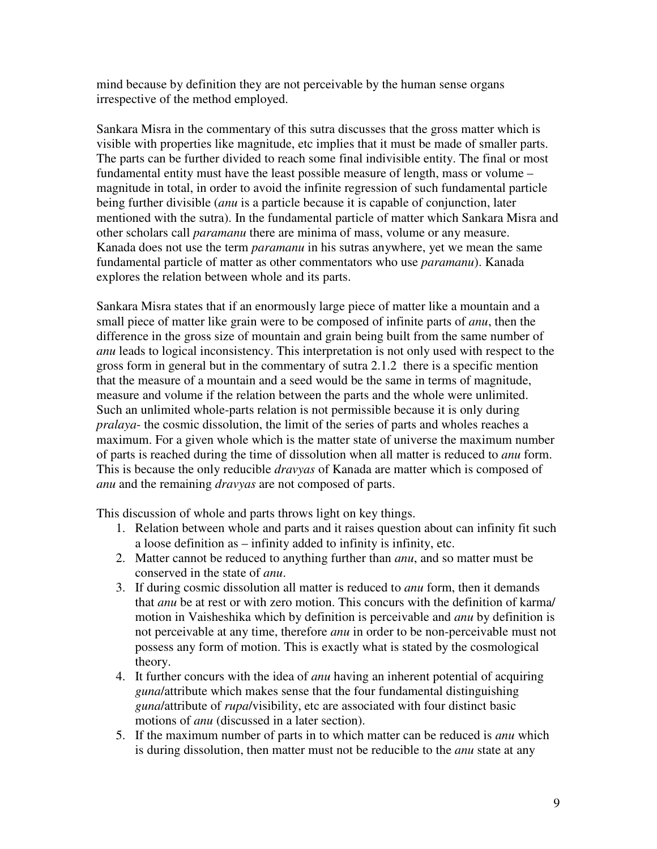mind because by definition they are not perceivable by the human sense organs irrespective of the method employed.

Sankara Misra in the commentary of this sutra discusses that the gross matter which is visible with properties like magnitude, etc implies that it must be made of smaller parts. The parts can be further divided to reach some final indivisible entity. The final or most fundamental entity must have the least possible measure of length, mass or volume – magnitude in total, in order to avoid the infinite regression of such fundamental particle being further divisible (*anu* is a particle because it is capable of conjunction, later mentioned with the sutra). In the fundamental particle of matter which Sankara Misra and other scholars call *paramanu* there are minima of mass, volume or any measure. Kanada does not use the term *paramanu* in his sutras anywhere, yet we mean the same fundamental particle of matter as other commentators who use *paramanu*). Kanada explores the relation between whole and its parts.

Sankara Misra states that if an enormously large piece of matter like a mountain and a small piece of matter like grain were to be composed of infinite parts of *anu*, then the difference in the gross size of mountain and grain being built from the same number of *anu* leads to logical inconsistency. This interpretation is not only used with respect to the gross form in general but in the commentary of sutra 2.1.2 there is a specific mention that the measure of a mountain and a seed would be the same in terms of magnitude, measure and volume if the relation between the parts and the whole were unlimited. Such an unlimited whole-parts relation is not permissible because it is only during *pralaya*- the cosmic dissolution, the limit of the series of parts and wholes reaches a maximum. For a given whole which is the matter state of universe the maximum number of parts is reached during the time of dissolution when all matter is reduced to *anu* form. This is because the only reducible *dravyas* of Kanada are matter which is composed of *anu* and the remaining *dravyas* are not composed of parts.

This discussion of whole and parts throws light on key things.

- 1. Relation between whole and parts and it raises question about can infinity fit such a loose definition as – infinity added to infinity is infinity, etc.
- 2. Matter cannot be reduced to anything further than *anu*, and so matter must be conserved in the state of *anu*.
- 3. If during cosmic dissolution all matter is reduced to *anu* form, then it demands that *anu* be at rest or with zero motion. This concurs with the definition of karma/ motion in Vaisheshika which by definition is perceivable and *anu* by definition is not perceivable at any time, therefore *anu* in order to be non-perceivable must not possess any form of motion. This is exactly what is stated by the cosmological theory.
- 4. It further concurs with the idea of *anu* having an inherent potential of acquiring *guna*/attribute which makes sense that the four fundamental distinguishing *guna*/attribute of *rupa*/visibility, etc are associated with four distinct basic motions of *anu* (discussed in a later section).
- 5. If the maximum number of parts in to which matter can be reduced is *anu* which is during dissolution, then matter must not be reducible to the *anu* state at any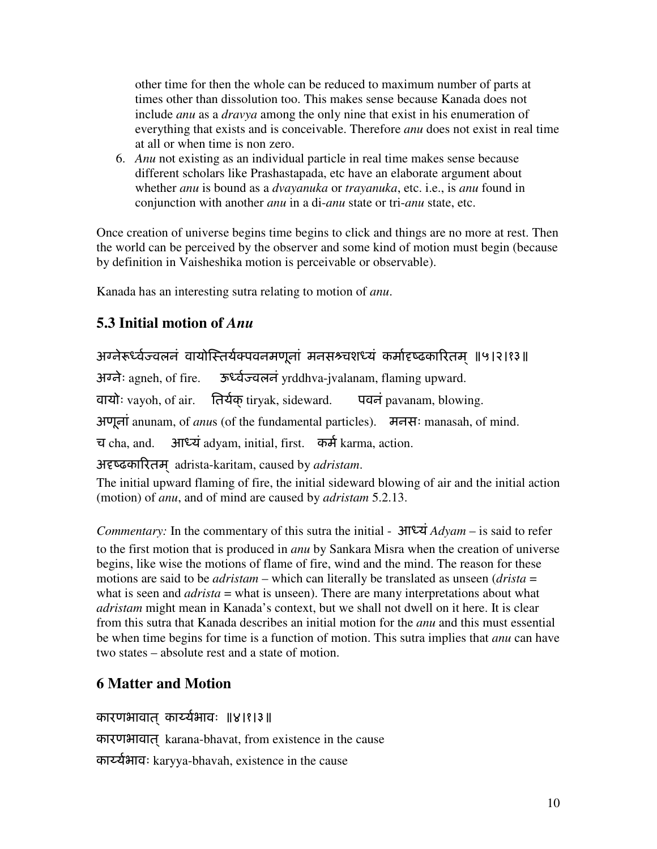other time for then the whole can be reduced to maximum number of parts at times other than dissolution too. This makes sense because Kanada does not include *anu* as a *dravya* among the only nine that exist in his enumeration of everything that exists and is conceivable. Therefore *anu* does not exist in real time at all or when time is non zero.

6. *Anu* not existing as an individual particle in real time makes sense because different scholars like Prashastapada, etc have an elaborate argument about whether *anu* is bound as a *dvayanuka* or *trayanuka*, etc. i.e., is *anu* found in conjunction with another *anu* in a di-*anu* state or tri-*anu* state, etc.

Once creation of universe begins time begins to click and things are no more at rest. Then the world can be perceived by the observer and some kind of motion must begin (because by definition in Vaisheshika motion is perceivable or observable).

Kanada has an interesting sutra relating to motion of *anu*.

# **5.3 Initial motion of** *Anu*

अग्नेरूर्ध्वज्वलनं वायोस्तिर्यक्पवनमणूनां मनसश्र्चशध्यं कर्मादृष्ढकारितम ॥५।२।१३॥ अग्लेः agneh, of fire. ऊर्ध्वज्वलनं yrddhva-jvalanam, flaming upward. वायोः vayoh, of air. तिर्यक् tiryak, sideward. पवनं pavanam, blowing. अणूनां anunam, of *anu*s (of the fundamental particles). मनसः manasah, of mind. च cha, and. आध्यं adyam, initial, first. कर्म karma, action. अदृष्ढकारितम adrista-karitam, caused by *adristam*.

The initial upward flaming of fire, the initial sideward blowing of air and the initial action (motion) of *anu*, and of mind are caused by *adristam* 5.2.13.

*Commentary:* In the commentary of this sutra the initial -  $\frac{\partial \mathbf{F} \cdot \mathbf{A}}{\partial x} \cdot \frac{\partial \mathbf{A}}{\partial y} = -\frac{\partial \mathbf{A}}{\partial x} \cdot \frac{\partial \mathbf{A}}{\partial y} \cdot \frac{\partial \mathbf{A}}{\partial x}$ to the first motion that is produced in *anu* by Sankara Misra when the creation of universe begins, like wise the motions of flame of fire, wind and the mind. The reason for these motions are said to be *adristam* – which can literally be translated as unseen (*drista* = what is seen and *adrista* = what is unseen). There are many interpretations about what *adristam* might mean in Kanada's context, but we shall not dwell on it here. It is clear from this sutra that Kanada describes an initial motion for the *anu* and this must essential be when time begins for time is a function of motion. This sutra implies that *anu* can have two states – absolute rest and a state of motion.

# **6 Matter and Motion**

कारणभावात कार्य्यभावः ॥४।१।३॥

कारणभावात ्karana-bhavat, from existence in the cause

कार्य्यभावः karyya-bhavah, existence in the cause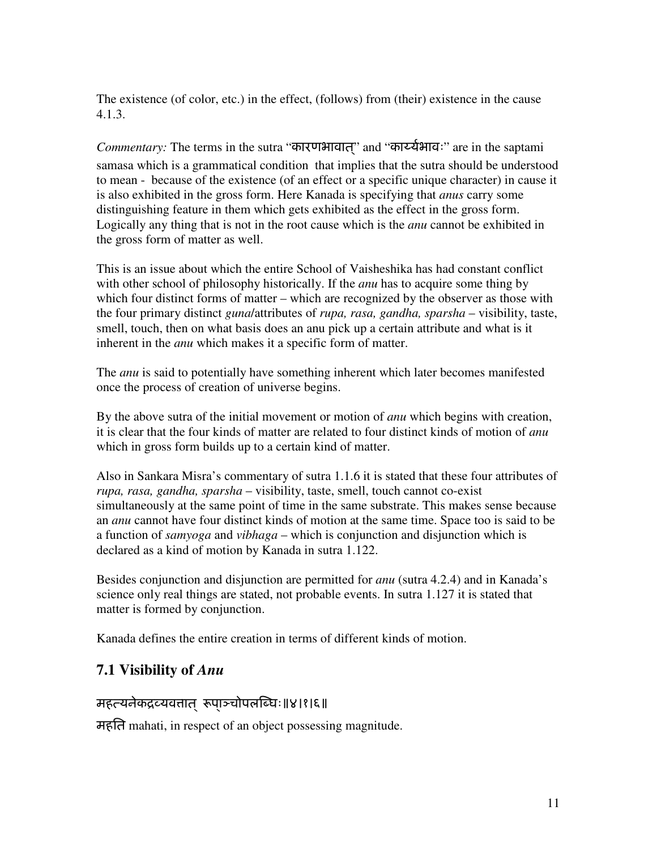The existence (of color, etc.) in the effect, (follows) from (their) existence in the cause 4.1.3.

*Commentary:* The terms in the sutra "कारणभावात" and "कार्य्यभावः" are in the saptami samasa which is a grammatical condition that implies that the sutra should be understood to mean - because of the existence (of an effect or a specific unique character) in cause it is also exhibited in the gross form. Here Kanada is specifying that *anus* carry some distinguishing feature in them which gets exhibited as the effect in the gross form. Logically any thing that is not in the root cause which is the *anu* cannot be exhibited in the gross form of matter as well.

This is an issue about which the entire School of Vaisheshika has had constant conflict with other school of philosophy historically. If the *anu* has to acquire some thing by which four distinct forms of matter – which are recognized by the observer as those with the four primary distinct *guna*/attributes of *rupa, rasa, gandha, sparsha* – visibility, taste, smell, touch, then on what basis does an anu pick up a certain attribute and what is it inherent in the *anu* which makes it a specific form of matter.

The *anu* is said to potentially have something inherent which later becomes manifested once the process of creation of universe begins.

By the above sutra of the initial movement or motion of *anu* which begins with creation, it is clear that the four kinds of matter are related to four distinct kinds of motion of *anu*  which in gross form builds up to a certain kind of matter.

Also in Sankara Misra's commentary of sutra 1.1.6 it is stated that these four attributes of *rupa, rasa, gandha, sparsha* – visibility, taste, smell, touch cannot co-exist simultaneously at the same point of time in the same substrate. This makes sense because an *anu* cannot have four distinct kinds of motion at the same time. Space too is said to be a function of *samyoga* and *vibhaga* – which is conjunction and disjunction which is declared as a kind of motion by Kanada in sutra 1.122.

Besides conjunction and disjunction are permitted for *anu* (sutra 4.2.4) and in Kanada's science only real things are stated, not probable events. In sutra 1.127 it is stated that matter is formed by conjunction.

Kanada defines the entire creation in terms of different kinds of motion.

#### **7.1 Visibility of** *Anu*

#### महत्त्यनेकद्रव्यवतात रूपाञ्चोपलब्धिः॥४।१।६॥

महित mahati, in respect of an object possessing magnitude.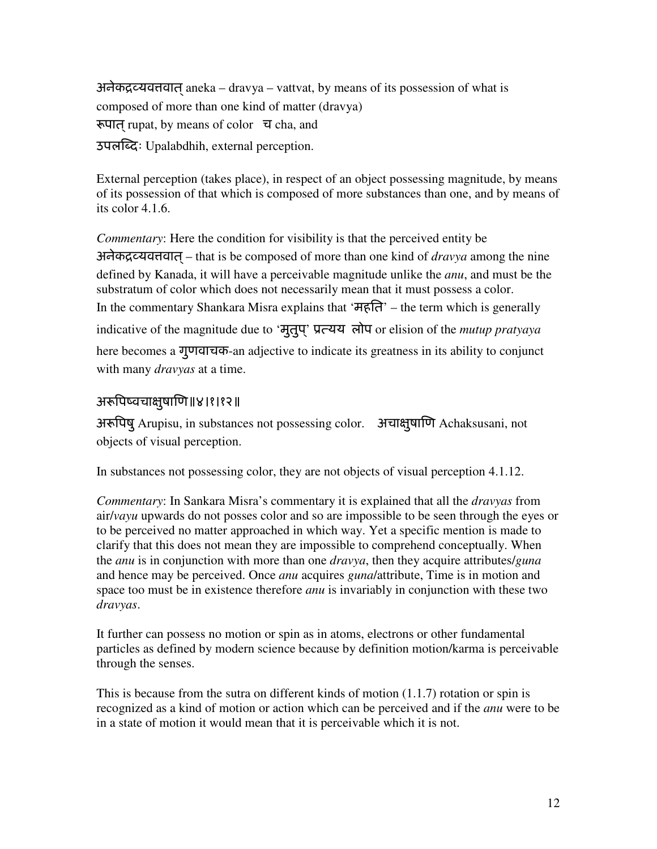अनेकद्रव्यवत्तवात् aneka – dravya – vattvat, by means of its possession of what is composed of more than one kind of matter (dravya) रूपात rupat, by means of color  $\overline{u}$  cha, and उपल[दः Upalabdhih, external perception.

External perception (takes place), in respect of an object possessing magnitude, by means of its possession of that which is composed of more substances than one, and by means of its color 4.1.6.

*Commentary*: Here the condition for visibility is that the perceived entity be अनेकद्रव्यवत्तवात – that is be composed of more than one kind of *dravya* among the nine defined by Kanada, it will have a perceivable magnitude unlike the *anu*, and must be the substratum of color which does not necessarily mean that it must possess a color. In the commentary Shankara Misra explains that 'महित' – the term which is generally indicative of the magnitude due to 'मुतुप' ् ूयय लोप or elision of the *mutup pratyaya* here becomes a गुणवाचक-an adjective to indicate its greatness in its ability to conjunct with many *dravyas* at a time.

#### अरूपिष्वचाक्षयाणि॥४।१।१२॥

अरूपिषु Arupisu, in substances not possessing color. अचाक्षुषाणि Achaksusani, not objects of visual perception.

In substances not possessing color, they are not objects of visual perception 4.1.12.

*Commentary*: In Sankara Misra's commentary it is explained that all the *dravyas* from air/*vayu* upwards do not posses color and so are impossible to be seen through the eyes or to be perceived no matter approached in which way. Yet a specific mention is made to clarify that this does not mean they are impossible to comprehend conceptually. When the *anu* is in conjunction with more than one *dravya*, then they acquire attributes/*guna* and hence may be perceived. Once *anu* acquires *guna*/attribute, Time is in motion and space too must be in existence therefore *anu* is invariably in conjunction with these two *dravyas*.

It further can possess no motion or spin as in atoms, electrons or other fundamental particles as defined by modern science because by definition motion/karma is perceivable through the senses.

This is because from the sutra on different kinds of motion  $(1.1.7)$  rotation or spin is recognized as a kind of motion or action which can be perceived and if the *anu* were to be in a state of motion it would mean that it is perceivable which it is not.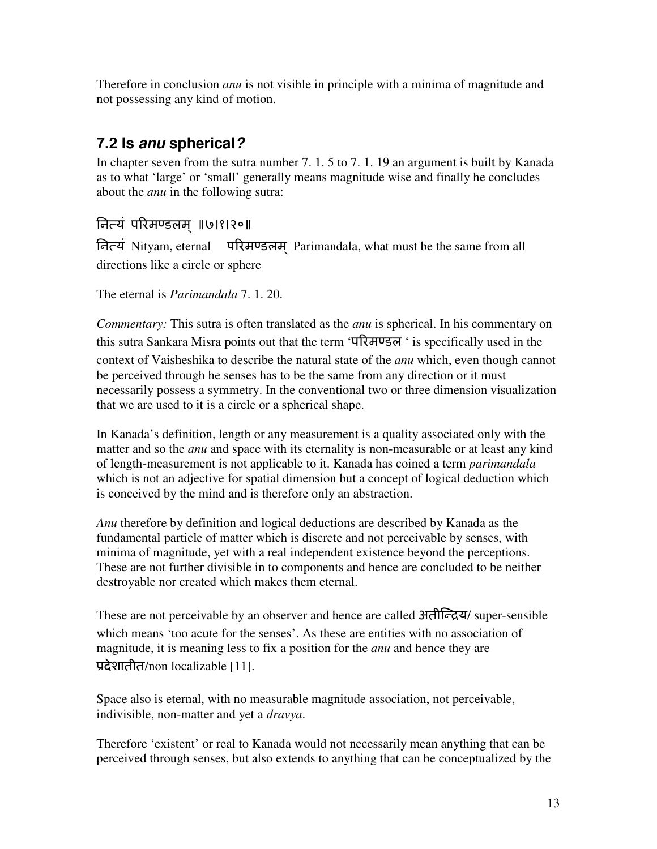Therefore in conclusion *anu* is not visible in principle with a minima of magnitude and not possessing any kind of motion.

# **7.2 Is anu spherical?**

In chapter seven from the sutra number 7. 1. 5 to 7. 1. 19 an argument is built by Kanada as to what 'large' or 'small' generally means magnitude wise and finally he concludes about the *anu* in the following sutra:

# िनयं पWरम]डलम ॥् ७।१।२०॥

नित्यं Nityam, eternal परिमण्डलम् Parimandala, what must be the same from all directions like a circle or sphere

The eternal is *Parimandala* 7. 1. 20.

*Commentary:* This sutra is often translated as the *anu* is spherical. In his commentary on this sutra Sankara Misra points out that the term 'परिमण्डल ' is specifically used in the context of Vaisheshika to describe the natural state of the *anu* which, even though cannot be perceived through he senses has to be the same from any direction or it must necessarily possess a symmetry. In the conventional two or three dimension visualization that we are used to it is a circle or a spherical shape.

In Kanada's definition, length or any measurement is a quality associated only with the matter and so the *anu* and space with its eternality is non-measurable or at least any kind of length-measurement is not applicable to it. Kanada has coined a term *parimandala* which is not an adjective for spatial dimension but a concept of logical deduction which is conceived by the mind and is therefore only an abstraction.

*Anu* therefore by definition and logical deductions are described by Kanada as the fundamental particle of matter which is discrete and not perceivable by senses, with minima of magnitude, yet with a real independent existence beyond the perceptions. These are not further divisible in to components and hence are concluded to be neither destroyable nor created which makes them eternal.

These are not perceivable by an observer and hence are called अतीन्द्रिय/ super-sensible which means 'too acute for the senses'. As these are entities with no association of magnitude, it is meaning less to fix a position for the *anu* and hence they are प्रदेशातीत/non localizable [11].

Space also is eternal, with no measurable magnitude association, not perceivable, indivisible, non-matter and yet a *dravya*.

Therefore 'existent' or real to Kanada would not necessarily mean anything that can be perceived through senses, but also extends to anything that can be conceptualized by the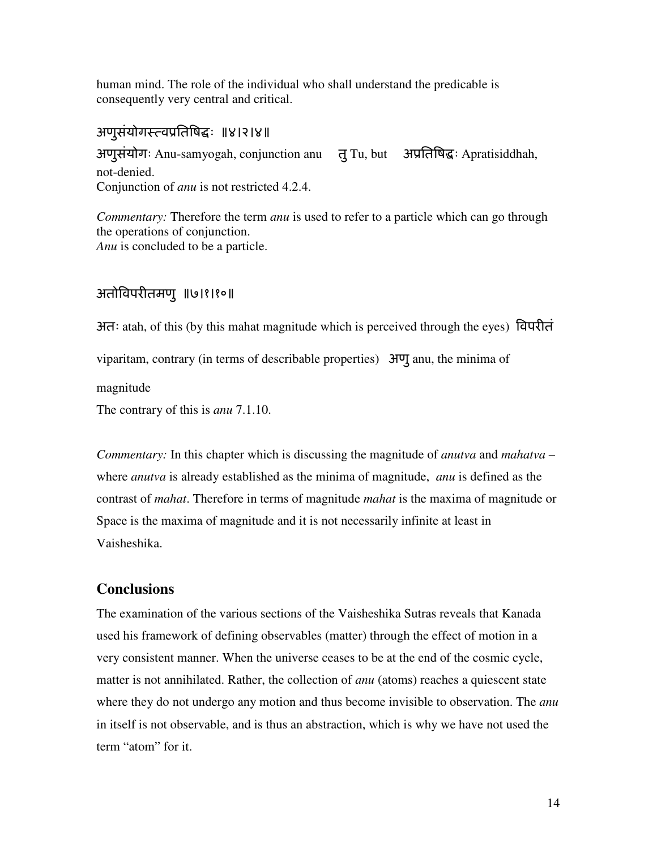human mind. The role of the individual who shall understand the predicable is consequently very central and critical.

#### अणुसंयोगस्त्वप्रतिषिद्धः ॥४।२।४॥

अणुसंयोगः Anu-samyogah, conjunction anu तु Tu, but अप्रतिषिद्धः Apratisiddhah, not-denied. Conjunction of *anu* is not restricted 4.2.4.

*Commentary:* Therefore the term *anu* is used to refer to a particle which can go through the operations of conjunction. *Anu* is concluded to be a particle.

#### अतो.वपरIतमणु ॥७।१।१०॥

अतः atah, of this (by this mahat magnitude which is perceived through the eyes) .विपरीत viparitam, contrary (in terms of describable properties) अणु anu, the minima of magnitude The contrary of this is *anu* 7.1.10.

*Commentary:* In this chapter which is discussing the magnitude of *anutva* and *mahatva* – where *anutva* is already established as the minima of magnitude, *anu* is defined as the contrast of *mahat*. Therefore in terms of magnitude *mahat* is the maxima of magnitude or Space is the maxima of magnitude and it is not necessarily infinite at least in Vaisheshika.

#### **Conclusions**

The examination of the various sections of the Vaisheshika Sutras reveals that Kanada used his framework of defining observables (matter) through the effect of motion in a very consistent manner. When the universe ceases to be at the end of the cosmic cycle, matter is not annihilated. Rather, the collection of *anu* (atoms) reaches a quiescent state where they do not undergo any motion and thus become invisible to observation. The *anu* in itself is not observable, and is thus an abstraction, which is why we have not used the term "atom" for it.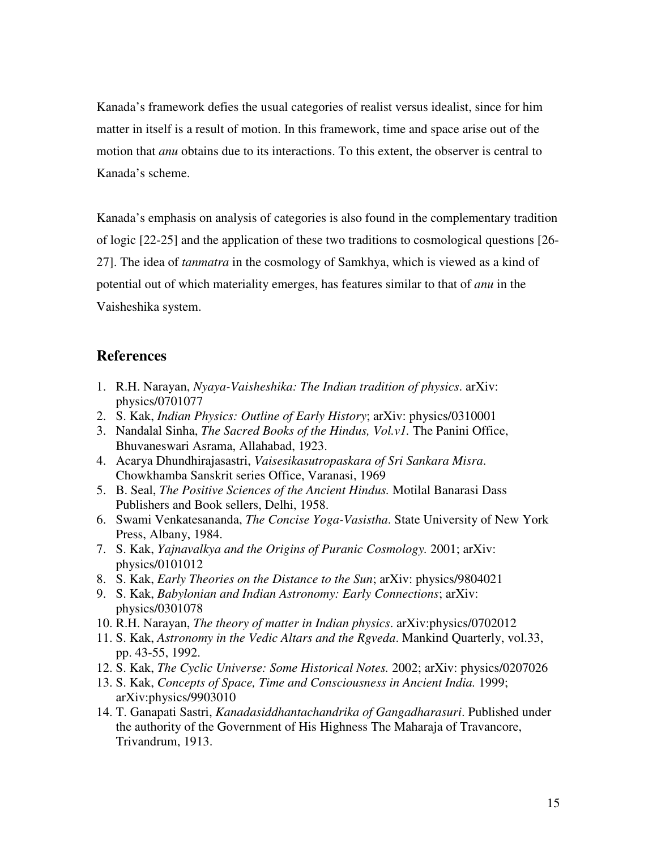Kanada's framework defies the usual categories of realist versus idealist, since for him matter in itself is a result of motion. In this framework, time and space arise out of the motion that *anu* obtains due to its interactions. To this extent, the observer is central to Kanada's scheme.

Kanada's emphasis on analysis of categories is also found in the complementary tradition of logic [22-25] and the application of these two traditions to cosmological questions [26- 27]. The idea of *tanmatra* in the cosmology of Samkhya, which is viewed as a kind of potential out of which materiality emerges, has features similar to that of *anu* in the Vaisheshika system.

#### **References**

- 1. R.H. Narayan, *Nyaya-Vaisheshika: The Indian tradition of physics*. arXiv: physics/0701077
- 2. S. Kak, *Indian Physics: Outline of Early History*; arXiv: physics/0310001
- 3. Nandalal Sinha, *The Sacred Books of the Hindus, Vol.v1.* The Panini Office, Bhuvaneswari Asrama, Allahabad, 1923.
- 4. Acarya Dhundhirajasastri, *Vaisesikasutropaskara of Sri Sankara Misra*. Chowkhamba Sanskrit series Office, Varanasi, 1969
- 5. B. Seal, *The Positive Sciences of the Ancient Hindus.* Motilal Banarasi Dass Publishers and Book sellers, Delhi, 1958.
- 6. Swami Venkatesananda, *The Concise Yoga-Vasistha*. State University of New York Press, Albany, 1984.
- 7. S. Kak, *Yajnavalkya and the Origins of Puranic Cosmology.* 2001; arXiv: physics/0101012
- 8. S. Kak, *Early Theories on the Distance to the Sun*; arXiv: physics/9804021
- 9. S. Kak, *Babylonian and Indian Astronomy: Early Connections*; arXiv: physics/0301078
- 10. R.H. Narayan, *The theory of matter in Indian physics*. arXiv:physics/0702012
- 11. S. Kak, *Astronomy in the Vedic Altars and the Rgveda*. Mankind Quarterly, vol.33, pp. 43-55, 1992.
- 12. S. Kak, *The Cyclic Universe: Some Historical Notes.* 2002; arXiv: physics/0207026
- 13. S. Kak, *Concepts of Space, Time and Consciousness in Ancient India.* 1999; arXiv:physics/9903010
- 14. T. Ganapati Sastri, *Kanadasiddhantachandrika of Gangadharasuri*. Published under the authority of the Government of His Highness The Maharaja of Travancore, Trivandrum, 1913.